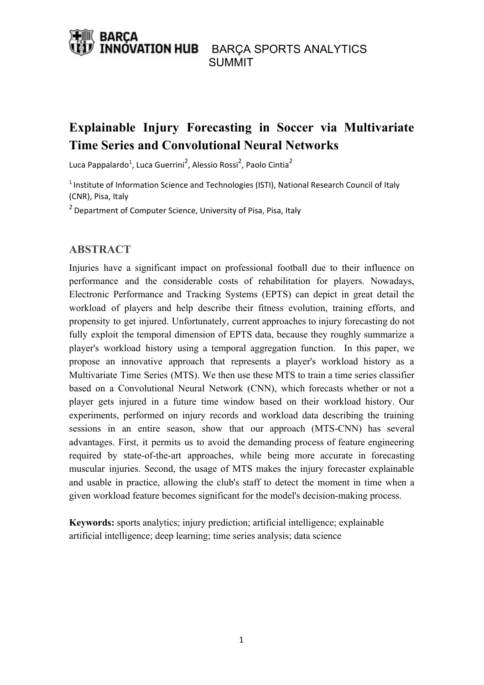# **Explainable Injury Forecasting in Soccer via Multivariate Time Series and Convolutional Neural Networks**

Luca Pappalardo<sup>1</sup>, Luca Guerrini<sup>2</sup>, Alessio Rossi<sup>2</sup>, Paolo Cintia<sup>2</sup>

<sup>1</sup> Institute of Information Science and Technologies (ISTI), National Research Council of Italy (CNR), Pisa, Italy

<sup>2</sup> Department of Computer Science, University of Pisa, Pisa, Italy

### **ABSTRACT**

Injuries have a significant impact on professional football due to their influence on performance and the considerable costs of rehabilitation for players. Nowadays, Electronic Performance and Tracking Systems (EPTS) can depict in great detail the workload of players and help describe their fitness evolution, training efforts, and propensity to get injured. Unfortunately, current approaches to injury forecasting do not fully exploit the temporal dimension of EPTS data, because they roughly summarize a player's workload history using a temporal aggregation function. In this paper, we propose an innovative approach that represents a player's workload history as a Multivariate Time Series (MTS). We then use these MTS to train a time series classifier based on a Convolutional Neural Network (CNN), which forecasts whether or not a player gets injured in a future time window based on their workload history. Our experiments, performed on injury records and workload data describing the training sessions in an entire season, show that our approach (MTS-CNN) has several advantages. First, it permits us to avoid the demanding process of feature engineering required by state-of-the-art approaches, while being more accurate in forecasting muscular injuries. Second, the usage of MTS makes the injury forecaster explainable and usable in practice, allowing the club's staff to detect the moment in time when a given workload feature becomes significant for the model's decision-making process.

**Keywords:** sports analytics; injury prediction; artificial intelligence; explainable artificial intelligence; deep learning; time series analysis; data science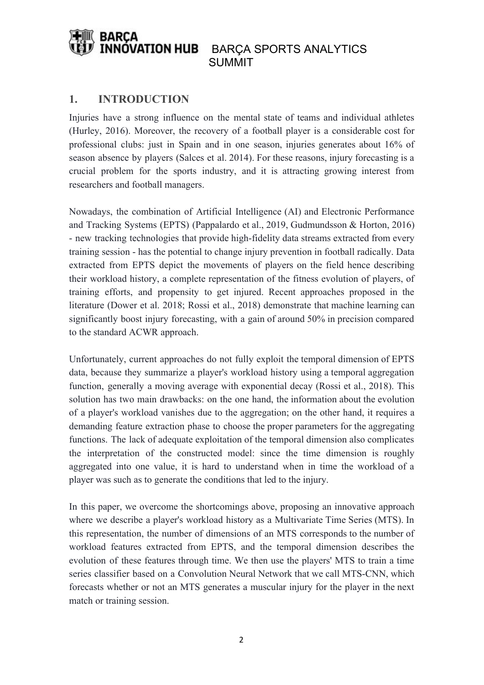# **1. INTRODUCTION**

Injuries have a strong influence on the mental state of teams and individual athletes (Hurley, 2016). Moreover, the recovery of a football player is a considerable cost for professional clubs: just in Spain and in one season, injuries generates about 16% of season absence by players (Salces et al. 2014). For these reasons, injury forecasting is a crucial problem for the sports industry, and it is attracting growing interest from researchers and football managers.

Nowadays, the combination of Artificial Intelligence (AI) and Electronic Performance and Tracking Systems (EPTS) (Pappalardo et al., 2019, Gudmundsson & Horton, 2016) - new tracking technologies that provide high-fidelity data streams extracted from every training session - has the potential to change injury prevention in football radically. Data extracted from EPTS depict the movements of players on the field hence describing their workload history, a complete representation of the fitness evolution of players, of training efforts, and propensity to get injured. Recent approaches proposed in the literature (Dower et al. 2018; Rossi et al., 2018) demonstrate that machine learning can significantly boost injury forecasting, with a gain of around 50% in precision compared to the standard ACWR approach.

Unfortunately, current approaches do not fully exploit the temporal dimension of EPTS data, because they summarize a player's workload history using a temporal aggregation function, generally a moving average with exponential decay (Rossi et al., 2018). This solution has two main drawbacks: on the one hand, the information about the evolution of a player's workload vanishes due to the aggregation; on the other hand, it requires a demanding feature extraction phase to choose the proper parameters for the aggregating functions. The lack of adequate exploitation of the temporal dimension also complicates the interpretation of the constructed model: since the time dimension is roughly aggregated into one value, it is hard to understand when in time the workload of a player was such as to generate the conditions that led to the injury.

In this paper, we overcome the shortcomings above, proposing an innovative approach where we describe a player's workload history as a Multivariate Time Series (MTS). In this representation, the number of dimensions of an MTS corresponds to the number of workload features extracted from EPTS, and the temporal dimension describes the evolution of these features through time. We then use the players' MTS to train a time series classifier based on a Convolution Neural Network that we call MTS-CNN, which forecasts whether or not an MTS generates a muscular injury for the player in the next match or training session.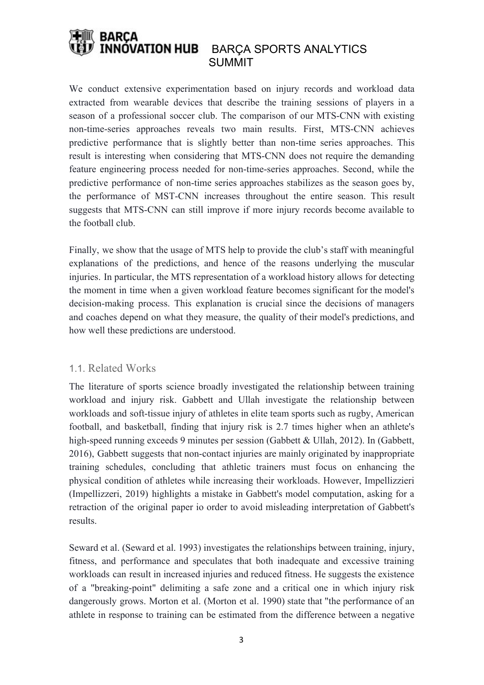We conduct extensive experimentation based on injury records and workload data extracted from wearable devices that describe the training sessions of players in a season of a professional soccer club. The comparison of our MTS-CNN with existing non-time-series approaches reveals two main results. First, MTS-CNN achieves predictive performance that is slightly better than non-time series approaches. This result is interesting when considering that MTS-CNN does not require the demanding feature engineering process needed for non-time-series approaches. Second, while the predictive performance of non-time series approaches stabilizes as the season goes by, the performance of MST-CNN increases throughout the entire season. This result suggests that MTS-CNN can still improve if more injury records become available to the football club.

Finally, we show that the usage of MTS help to provide the club's staff with meaningful explanations of the predictions, and hence of the reasons underlying the muscular injuries. In particular, the MTS representation of a workload history allows for detecting the moment in time when a given workload feature becomes significant for the model's decision-making process. This explanation is crucial since the decisions of managers and coaches depend on what they measure, the quality of their model's predictions, and how well these predictions are understood.

### 1.1. Related Works

The literature of sports science broadly investigated the relationship between training workload and injury risk. Gabbett and Ullah investigate the relationship between workloads and soft-tissue injury of athletes in elite team sports such as rugby, American football, and basketball, finding that injury risk is 2.7 times higher when an athlete's high-speed running exceeds 9 minutes per session (Gabbett & Ullah, 2012). In (Gabbett, 2016), Gabbett suggests that non-contact injuries are mainly originated by inappropriate training schedules, concluding that athletic trainers must focus on enhancing the physical condition of athletes while increasing their workloads. However, Impellizzieri (Impellizzeri, 2019) highlights a mistake in Gabbett's model computation, asking for a retraction of the original paper io order to avoid misleading interpretation of Gabbett's results.

Seward et al. (Seward et al. 1993) investigates the relationships between training, injury, fitness, and performance and speculates that both inadequate and excessive training workloads can result in increased injuries and reduced fitness. He suggests the existence of a "breaking-point" delimiting a safe zone and a critical one in which injury risk dangerously grows. Morton et al. (Morton et al. 1990) state that "the performance of an athlete in response to training can be estimated from the difference between a negative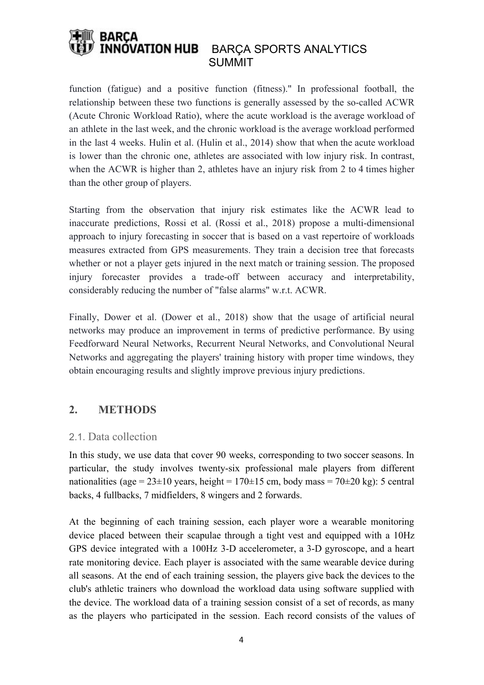function (fatigue) and a positive function (fitness)." In professional football, the relationship between these two functions is generally assessed by the so-called ACWR (Acute Chronic Workload Ratio), where the acute workload is the average workload of an athlete in the last week, and the chronic workload is the average workload performed in the last 4 weeks. Hulin et al. (Hulin et al., 2014) show that when the acute workload is lower than the chronic one, athletes are associated with low injury risk. In contrast, when the ACWR is higher than 2, athletes have an injury risk from 2 to 4 times higher than the other group of players.

Starting from the observation that injury risk estimates like the ACWR lead to inaccurate predictions, Rossi et al. (Rossi et al., 2018) propose a multi-dimensional approach to injury forecasting in soccer that is based on a vast repertoire of workloads measures extracted from GPS measurements. They train a decision tree that forecasts whether or not a player gets injured in the next match or training session. The proposed injury forecaster provides a trade-off between accuracy and interpretability, considerably reducing the number of "false alarms" w.r.t. ACWR.

Finally, Dower et al. (Dower et al., 2018) show that the usage of artificial neural networks may produce an improvement in terms of predictive performance. By using Feedforward Neural Networks, Recurrent Neural Networks, and Convolutional Neural Networks and aggregating the players' training history with proper time windows, they obtain encouraging results and slightly improve previous injury predictions.

# **2. METHODS**

# 2.1. Data collection

In this study, we use data that cover 90 weeks, corresponding to two soccer seasons. In particular, the study involves twenty-six professional male players from different nationalities (age =  $23\pm10$  years, height =  $170\pm15$  cm, body mass =  $70\pm20$  kg): 5 central backs, 4 fullbacks, 7 midfielders, 8 wingers and 2 forwards.

At the beginning of each training session, each player wore a wearable monitoring device placed between their scapulae through a tight vest and equipped with a 10Hz GPS device integrated with a 100Hz 3-D accelerometer, a 3-D gyroscope, and a heart rate monitoring device. Each player is associated with the same wearable device during all seasons. At the end of each training session, the players give back the devices to the club's athletic trainers who download the workload data using software supplied with the device. The workload data of a training session consist of a set of records, as many as the players who participated in the session. Each record consists of the values of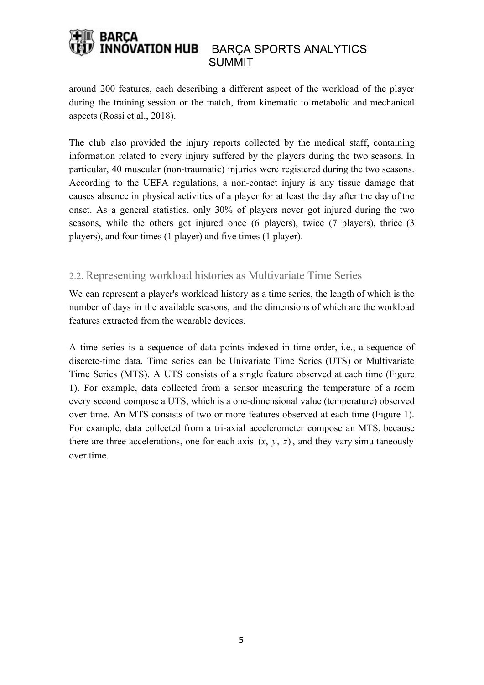around 200 features, each describing a different aspect of the workload of the player during the training session or the match, from kinematic to metabolic and mechanical aspects (Rossi et al., 2018).

The club also provided the injury reports collected by the medical staff, containing information related to every injury suffered by the players during the two seasons. In particular, 40 muscular (non-traumatic) injuries were registered during the two seasons. According to the UEFA regulations, a non-contact injury is any tissue damage that causes absence in physical activities of a player for at least the day after the day of the onset. As a general statistics, only 30% of players never got injured during the two seasons, while the others got injured once (6 players), twice (7 players), thrice (3 players), and four times (1 player) and five times (1 player).

# 2.2. Representing workload histories as Multivariate Time Series

We can represent a player's workload history as a time series, the length of which is the number of days in the available seasons, and the dimensions of which are the workload features extracted from the wearable devices.

A time series is a sequence of data points indexed in time order, i.e., a sequence of discrete-time data. Time series can be Univariate Time Series (UTS) or Multivariate Time Series (MTS). A UTS consists of a single feature observed at each time (Figure 1). For example, data collected from a sensor measuring the temperature of a room every second compose a UTS, which is a one-dimensional value (temperature) observed over time. An MTS consists of two or more features observed at each time (Figure 1). For example, data collected from a tri-axial accelerometer compose an MTS, because there are three accelerations, one for each axis  $(x, y, z)$ , and they vary simultaneously over time.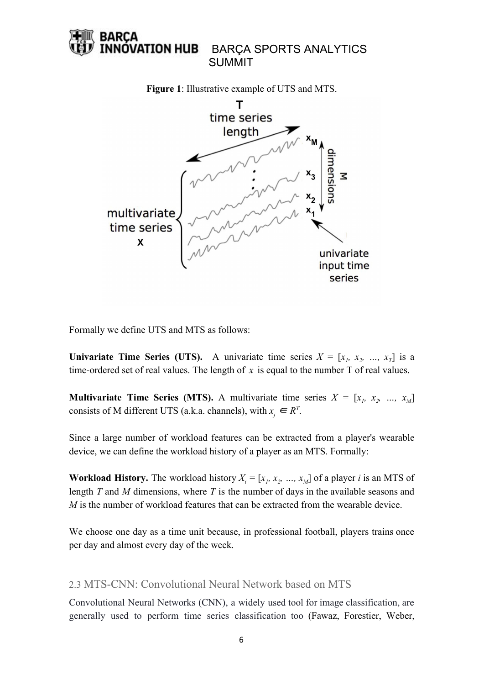

Formally we define UTS and MTS as follows:

**Univariate Time Series (UTS).** A univariate time series  $X = [x_1, x_2, ..., x_T]$  is a time-ordered set of real values. The length of  $x$  is equal to the number  $T$  of real values.

**Multivariate Time Series (MTS).** A multivariate time series  $X = [x_1, x_2, ..., x_M]$ consists of M different UTS (a.k.a. channels), with  $x_j \in R^T$ .

Since a large number of workload features can be extracted from a player's wearable device, we can define the workload history of a player as an MTS. Formally:

**Workload History.** The workload history  $X_i = [x_1, x_2, ..., x_M]$  of a player *i* is an MTS of length *T* and *M* dimensions, where *T* is the number of days in the available seasons and *M* is the number of workload features that can be extracted from the wearable device.

We choose one day as a time unit because, in professional football, players trains once per day and almost every day of the week.

### 2.3 MTS-CNN: Convolutional Neural Network based on MTS

Convolutional Neural Networks (CNN), a widely used tool for image classification, are generally used to perform time series classification too (Fawaz, Forestier, Weber,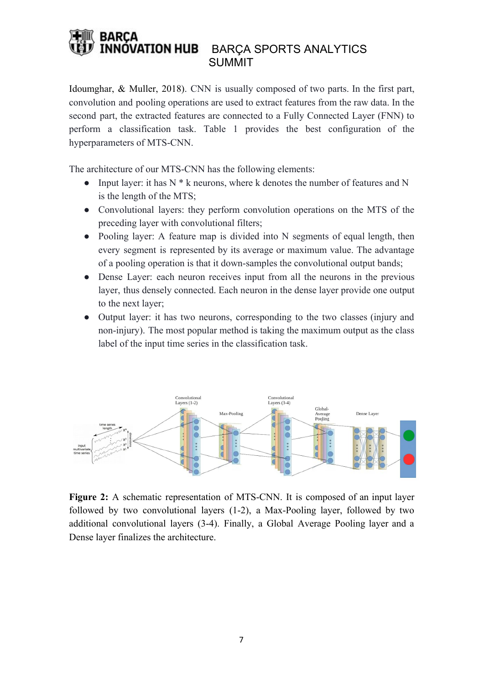Idoumghar, & Muller, 2018). CNN is usually composed of two parts. In the first part, convolution and pooling operations are used to extract features from the raw data. In the second part, the extracted features are connected to a Fully Connected Layer (FNN) to perform a classification task. Table 1 provides the best configuration of the hyperparameters of MTS-CNN.

The architecture of our MTS-CNN has the following elements:

- Input layer: it has  $N * k$  neurons, where k denotes the number of features and N is the length of the MTS;
- Convolutional layers: they perform convolution operations on the MTS of the preceding layer with convolutional filters;
- Pooling layer: A feature map is divided into N segments of equal length, then every segment is represented by its average or maximum value. The advantage of a pooling operation is that it down-samples the convolutional output bands;
- Dense Layer: each neuron receives input from all the neurons in the previous layer, thus densely connected. Each neuron in the dense layer provide one output to the next layer;
- Output layer: it has two neurons, corresponding to the two classes (injury and non-injury). The most popular method is taking the maximum output as the class label of the input time series in the classification task.



**Figure 2:** A schematic representation of MTS-CNN. It is composed of an input layer followed by two convolutional layers (1-2), a Max-Pooling layer, followed by two additional convolutional layers (3-4). Finally, a Global Average Pooling layer and a Dense layer finalizes the architecture.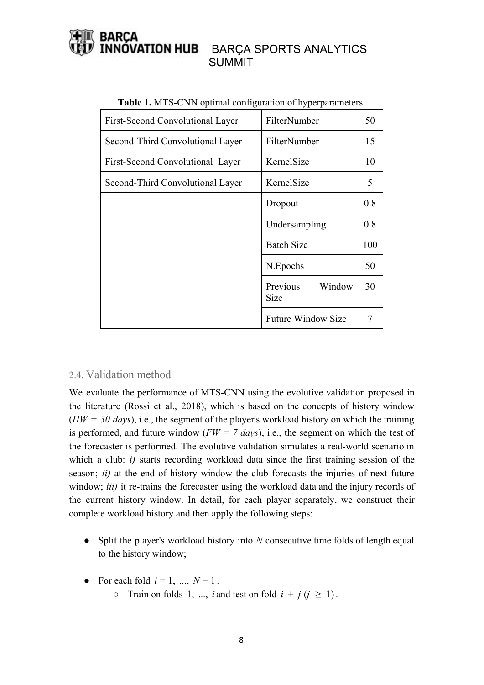| First-Second Convolutional Layer | FilterNumber               | 50  |
|----------------------------------|----------------------------|-----|
| Second-Third Convolutional Layer | FilterNumber               | 15  |
| First-Second Convolutional Layer | KernelSize                 | 10  |
| Second-Third Convolutional Layer | KernelSize                 | 5   |
|                                  | Dropout                    | 0.8 |
|                                  | Undersampling              | 0.8 |
|                                  | <b>Batch Size</b>          | 100 |
|                                  | N.Epochs                   | 50  |
|                                  | Previous<br>Window<br>Size | 30  |
|                                  | <b>Future Window Size</b>  |     |

| Table 1. MTS-CNN optimal configuration of hyperparameters. |  |  |
|------------------------------------------------------------|--|--|
|                                                            |  |  |

# 2.4. Validation method

We evaluate the performance of MTS-CNN using the evolutive validation proposed in the literature (Rossi et al., 2018), which is based on the concepts of history window (*HW = 30 days*), i.e., the segment of the player's workload history on which the training is performed, and future window ( $FW = 7 \text{ days}$ ), i.e., the segment on which the test of the forecaster is performed. The evolutive validation simulates a real-world scenario in which a club: *i*) starts recording workload data since the first training session of the season; *ii)* at the end of history window the club forecasts the injuries of next future window; *iii*) it re-trains the forecaster using the workload data and the injury records of the current history window. In detail, for each player separately, we construct their complete workload history and then apply the following steps:

- Split the player's workload history into *N* consecutive time folds of length equal to the history window;
- For each fold  $i = 1, ..., N 1$ :
	- $\circ$  Train on folds 1, ..., *i* and test on fold  $i + j$  ( $j \ge 1$ ).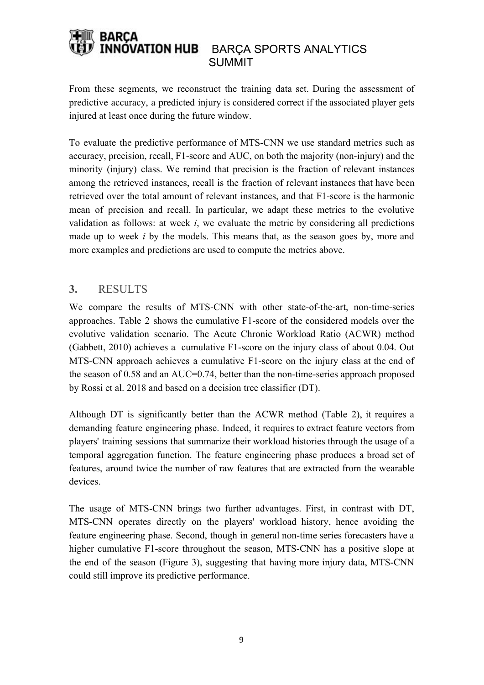From these segments, we reconstruct the training data set. During the assessment of predictive accuracy, a predicted injury is considered correct if the associated player gets injured at least once during the future window.

To evaluate the predictive performance of MTS-CNN we use standard metrics such as accuracy, precision, recall, F1-score and AUC, on both the majority (non-injury) and the minority (injury) class. We remind that precision is the fraction of relevant instances among the retrieved instances, recall is the fraction of relevant instances that have been retrieved over the total amount of relevant instances, and that F1-score is the harmonic mean of precision and recall. In particular, we adapt these metrics to the evolutive validation as follows: at week *i*, we evaluate the metric by considering all predictions made up to week *i* by the models. This means that, as the season goes by, more and more examples and predictions are used to compute the metrics above.

# **3.** RESULTS

We compare the results of MTS-CNN with other state-of-the-art, non-time-series approaches. Table 2 shows the cumulative F1-score of the considered models over the evolutive validation scenario. The Acute Chronic Workload Ratio (ACWR) method (Gabbett, 2010) achieves a cumulative F1-score on the injury class of about 0.04. Out MTS-CNN approach achieves a cumulative F1-score on the injury class at the end of the season of 0.58 and an AUC=0.74, better than the non-time-series approach proposed by Rossi et al. 2018 and based on a decision tree classifier (DT).

Although DT is significantly better than the ACWR method (Table 2), it requires a demanding feature engineering phase. Indeed, it requires to extract feature vectors from players' training sessions that summarize their workload histories through the usage of a temporal aggregation function. The feature engineering phase produces a broad set of features, around twice the number of raw features that are extracted from the wearable devices.

The usage of MTS-CNN brings two further advantages. First, in contrast with DT, MTS-CNN operates directly on the players' workload history, hence avoiding the feature engineering phase. Second, though in general non-time series forecasters have a higher cumulative F1-score throughout the season, MTS-CNN has a positive slope at the end of the season (Figure 3), suggesting that having more injury data, MTS-CNN could still improve its predictive performance.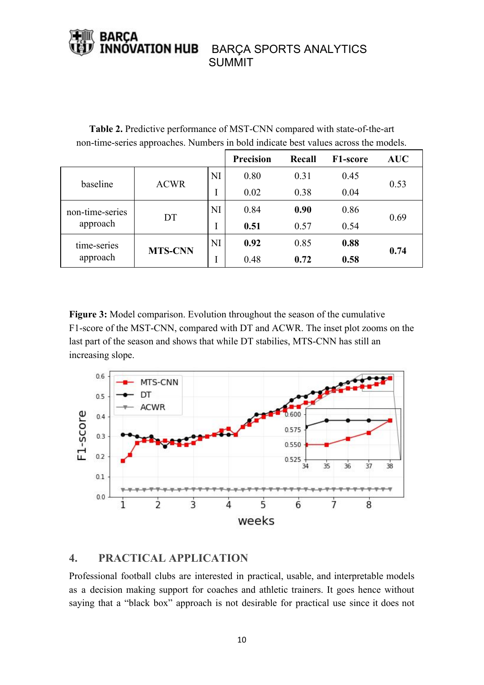# NÓVATION HUB BARÇA SPORTS ANALYTICS SUMMIT

**Table 2.** Predictive performance of MST-CNN compared with state-of-the-art non-time-series approaches. Numbers in bold indicate best values across the models.

|                             |                |           | Precision | Recall | F1-score | <b>AUC</b> |
|-----------------------------|----------------|-----------|-----------|--------|----------|------------|
| baseline                    | <b>ACWR</b>    | NI        | 0.80      | 0.31   | 0.45     | 0.53       |
|                             |                |           | 0.02      | 0.38   | 0.04     |            |
| non-time-series<br>approach | DT             | NI        | 0.84      | 0.90   | 0.86     | 0.69       |
|                             |                |           | 0.51      | 0.57   | 0.54     |            |
| time-series<br>approach     | <b>MTS-CNN</b> | <b>NI</b> | 0.92      | 0.85   | 0.88     | 0.74       |
|                             |                |           | 0.48      | 0.72   | 0.58     |            |

**Figure 3:** Model comparison. Evolution throughout the season of the cumulative F1-score of the MST-CNN, compared with DT and ACWR. The inset plot zooms on the last part of the season and shows that while DT stabilies, MTS-CNN has still an increasing slope.



# **4. PRACTICAL APPLICATION**

Professional football clubs are interested in practical, usable, and interpretable models as a decision making support for coaches and athletic trainers. It goes hence without saying that a "black box" approach is not desirable for practical use since it does not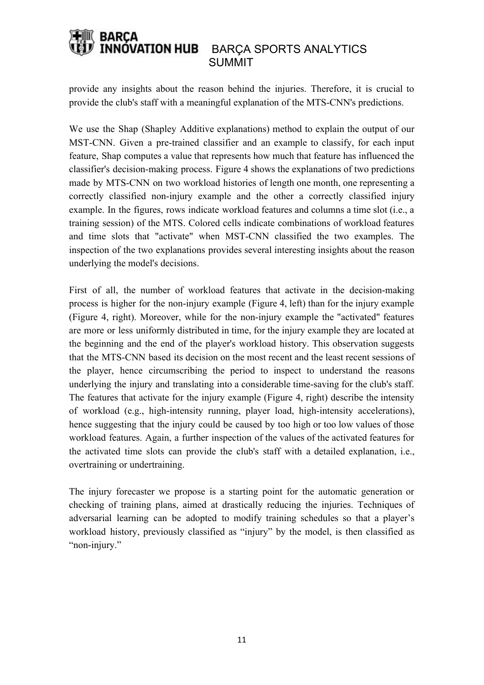provide any insights about the reason behind the injuries. Therefore, it is crucial to provide the club's staff with a meaningful explanation of the MTS-CNN's predictions.

We use the Shap (Shapley Additive explanations) method to explain the output of our MST-CNN. Given a pre-trained classifier and an example to classify, for each input feature, Shap computes a value that represents how much that feature has influenced the classifier's decision-making process. Figure 4 shows the explanations of two predictions made by MTS-CNN on two workload histories of length one month, one representing a correctly classified non-injury example and the other a correctly classified injury example. In the figures, rows indicate workload features and columns a time slot (i.e., a training session) of the MTS. Colored cells indicate combinations of workload features and time slots that "activate" when MST-CNN classified the two examples. The inspection of the two explanations provides several interesting insights about the reason underlying the model's decisions.

First of all, the number of workload features that activate in the decision-making process is higher for the non-injury example (Figure 4, left) than for the injury example (Figure 4, right). Moreover, while for the non-injury example the "activated" features are more or less uniformly distributed in time, for the injury example they are located at the beginning and the end of the player's workload history. This observation suggests that the MTS-CNN based its decision on the most recent and the least recent sessions of the player, hence circumscribing the period to inspect to understand the reasons underlying the injury and translating into a considerable time-saving for the club's staff. The features that activate for the injury example (Figure 4, right) describe the intensity of workload (e.g., high-intensity running, player load, high-intensity accelerations), hence suggesting that the injury could be caused by too high or too low values of those workload features. Again, a further inspection of the values of the activated features for the activated time slots can provide the club's staff with a detailed explanation, i.e., overtraining or undertraining.

The injury forecaster we propose is a starting point for the automatic generation or checking of training plans, aimed at drastically reducing the injuries. Techniques of adversarial learning can be adopted to modify training schedules so that a player's workload history, previously classified as "injury" by the model, is then classified as "non-injury."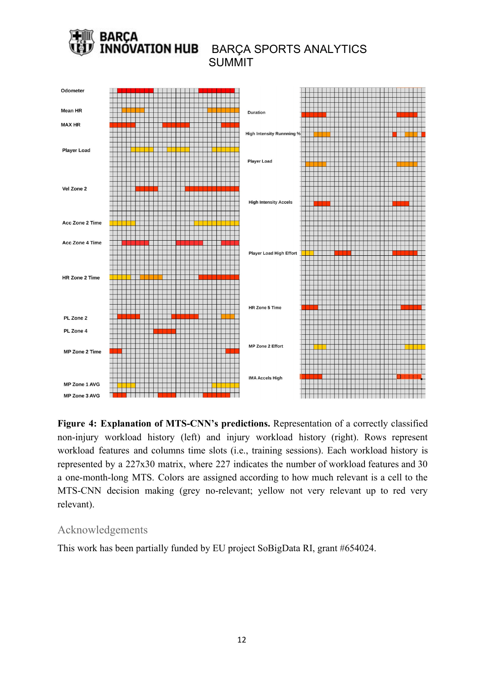

**Figure 4: Explanation of MTS-CNN's predictions.** Representation of a correctly classified non-injury workload history (left) and injury workload history (right). Rows represent workload features and columns time slots (i.e., training sessions). Each workload history is represented by a 227x30 matrix, where 227 indicates the number of workload features and 30 a one-month-long MTS. Colors are assigned according to how much relevant is a cell to the MTS-CNN decision making (grey no-relevant; yellow not very relevant up to red very relevant).

# Acknowledgements

This work has been partially funded by EU project SoBigData RI, grant #654024.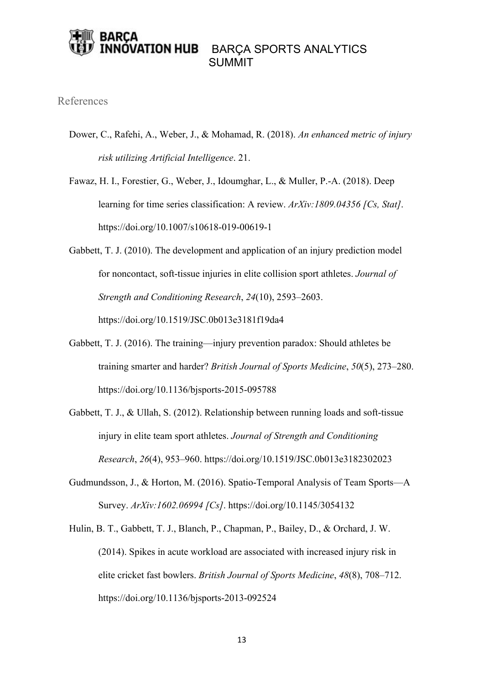# **/ATION HUB** BARÇA SPORTS ANALYTICS SUMMIT

### References

- Dower, C., Rafehi, A., Weber, J., & Mohamad, R. (2018). *An enhanced metric of injury risk utilizing Artificial Intelligence*. 21.
- Fawaz, H. I., Forestier, G., Weber, J., Idoumghar, L., & Muller, P.-A. (2018). Deep learning for time series classification: A review. *ArXiv:1809.04356 [Cs, Stat]*. <https://doi.org/10.1007/s10618-019-00619-1>
- Gabbett, T. J. (2010). The development and application of an injury prediction model for noncontact, soft-tissue injuries in elite collision sport athletes. *Journal of Strength and Conditioning Research*, *24*(10), 2593–2603. https://doi.org/10.1519/JSC.0b013e3181f19da4
- Gabbett, T. J. (2016). The training—injury prevention paradox: Should athletes be training smarter and harder? *British Journal of Sports Medicine*, *50*(5), 273–280. https://doi.org/10.1136/bjsports-2015-095788
- Gabbett, T. J., & Ullah, S. (2012). Relationship between running loads and soft-tissue injury in elite team sport athletes. *Journal of Strength and Conditioning Research*, *26*(4), 953–960. https://doi.org/10.1519/JSC.0b013e3182302023
- Gudmundsson, J., & Horton, M. (2016). Spatio-Temporal Analysis of Team Sports—A Survey. *ArXiv:1602.06994 [Cs]*. https://doi.org/10.1145/3054132
- Hulin, B. T., Gabbett, T. J., Blanch, P., Chapman, P., Bailey, D., & Orchard, J. W. (2014). Spikes in acute workload are associated with increased injury risk in elite cricket fast bowlers. *British Journal of Sports Medicine*, *48*(8), 708–712. https://doi.org/10.1136/bjsports-2013-092524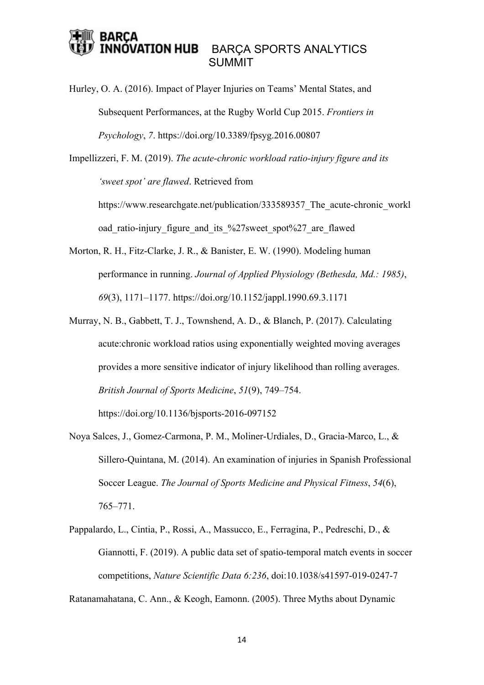### **ATION HUB** BARÇA SPORTS ANALYTICS SUMMIT

Hurley, O. A. (2016). Impact of Player Injuries on Teams' Mental States, and Subsequent Performances, at the Rugby World Cup 2015. *Frontiers in Psychology*, *7*. https://doi.org/10.3389/fpsyg.2016.00807

Impellizzeri, F. M. (2019). *The acute-chronic workload ratio-injury figure and its 'sweet spot' are flawed*. Retrieved from https://www.researchgate.net/publication/333589357 The acute-chronic workl oad ratio-injury figure and its %27sweet spot%27 are flawed

- Morton, R. H., Fitz-Clarke, J. R., & Banister, E. W. (1990). Modeling human performance in running. *Journal of Applied Physiology (Bethesda, Md.: 1985)*, *69*(3), 1171–1177. https://doi.org/10.1152/jappl.1990.69.3.1171
- Murray, N. B., Gabbett, T. J., Townshend, A. D., & Blanch, P. (2017). Calculating acute:chronic workload ratios using exponentially weighted moving averages provides a more sensitive indicator of injury likelihood than rolling averages. *British Journal of Sports Medicine*, *51*(9), 749–754.

https://doi.org/10.1136/bjsports-2016-097152

- Noya Salces, J., Gomez-Carmona, P. M., Moliner-Urdiales, D., Gracia-Marco, L., & Sillero-Quintana, M. (2014). An examination of injuries in Spanish Professional Soccer League. *The Journal of Sports Medicine and Physical Fitness*, *54*(6), 765–771.
- Pappalardo, L., Cintia, P., Rossi, A., Massucco, E., Ferragina, P., Pedreschi, D., & Giannotti, F. (2019). A public data set of spatio-temporal match events in soccer competitions, *Nature Scientific Data 6:236*, doi:10.1038/s41597-019-0247-7

Ratanamahatana, C. Ann., & Keogh, Eamonn. (2005). Three Myths about Dynamic